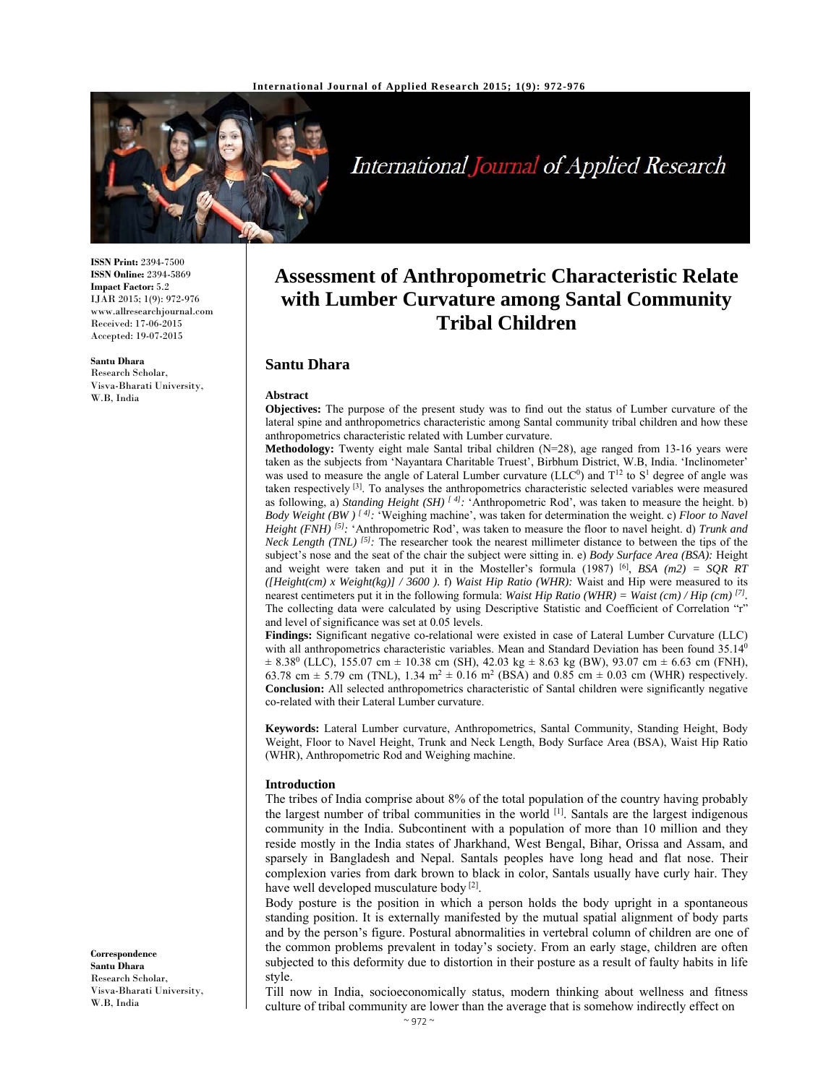

# International Journal of Applied Research

**ISSN Print:** 2394-7500 **ISSN Online:** 2394-5869 **Impact Factor:** 5.2 IJAR 2015; 1(9): 972-976 www.allresearchjournal.com Received: 17-06-2015 Accepted: 19-07-2015

**Santu Dhara**  Research Scholar,

Visva-Bharati University, W.B, India

**Assessment of Anthropometric Characteristic Relate with Lumber Curvature among Santal Community Tribal Children** 

## **Santu Dhara**

#### **Abstract**

**Objectives:** The purpose of the present study was to find out the status of Lumber curvature of the lateral spine and anthropometrics characteristic among Santal community tribal children and how these anthropometrics characteristic related with Lumber curvature.

**Methodology:** Twenty eight male Santal tribal children (N=28), age ranged from 13-16 years were taken as the subjects from 'Nayantara Charitable Truest', Birbhum District, W.B, India. 'Inclinometer' was used to measure the angle of Lateral Lumber curvature (LLC<sup>0</sup>) and  $T^2$  to  $S^1$  degree of angle was taken respectively [3]. To analyses the anthropometrics characteristic selected variables were measured as following, a) *Standing Height (SH) [ 4]:* 'Anthropometric Rod', was taken to measure the height. b) *Body Weight (BW ) [ 4]:* 'Weighing machine', was taken for determination the weight. c) *Floor to Navel Height (FNH) [5]:* 'Anthropometric Rod', was taken to measure the floor to navel height. d) *Trunk and Neck Length (TNL)* <sup>[5]</sup>: The researcher took the nearest millimeter distance to between the tips of the subject's nose and the seat of the chair the subject were sitting in. e) *Body Surface Area (BSA):* Height and weight were taken and put it in the Mosteller's formula (1987) [6], *BSA (m2) = SQR RT ([Height(cm) x Weight(kg)] / 3600 ).* **f)** *Waist Hip Ratio (WHR):* Waist and Hip were measured to its nearest centimeters put it in the following formula: *Waist Hip Ratio (WHR)* = *Waist (cm) / Hip (cm)* <sup>[7]</sup>. The collecting data were calculated by using Descriptive Statistic and Coefficient of Correlation "r" and level of significance was set at 0.05 levels.

**Findings:** Significant negative co-relational were existed in case of Lateral Lumber Curvature (LLC) with all anthropometrics characteristic variables. Mean and Standard Deviation has been found 35.14<sup>0</sup>  $\pm$  8.38<sup>0</sup> (LLC), 155.07 cm  $\pm$  10.38 cm (SH), 42.03 kg  $\pm$  8.63 kg (BW), 93.07 cm  $\pm$  6.63 cm (FNH), 63.78 cm  $\pm$  5.79 cm (TNL), 1.34 m<sup>2</sup>  $\pm$  0.16 m<sup>2</sup> (BSA) and 0.85 cm  $\pm$  0.03 cm (WHR) respectively. **Conclusion:** All selected anthropometrics characteristic of Santal children were significantly negative co-related with their Lateral Lumber curvature.

**Keywords:** Lateral Lumber curvature, Anthropometrics, Santal Community, Standing Height, Body Weight, Floor to Navel Height, Trunk and Neck Length, Body Surface Area (BSA), Waist Hip Ratio (WHR), Anthropometric Rod and Weighing machine.

#### **Introduction**

The tribes of India comprise about 8% of the total population of the country having probably the largest number of tribal communities in the world [1]. Santals are the largest indigenous community in the India. Subcontinent with a population of more than 10 million and they reside mostly in the India states of Jharkhand, West Bengal, Bihar, Orissa and Assam, and sparsely in Bangladesh and Nepal. Santals peoples have long head and flat nose. Their complexion varies from dark brown to black in color, Santals usually have curly hair. They have well developed musculature body<sup>[2]</sup>.

Body posture is the position in which a person holds the body upright in a spontaneous standing position. It is externally manifested by the mutual spatial alignment of body parts and by the person's figure. Postural abnormalities in vertebral column of children are one of the common problems prevalent in today's society. From an early stage, children are often subjected to this deformity due to distortion in their posture as a result of faulty habits in life style.

Till now in India, socioeconomically status, modern thinking about wellness and fitness culture of tribal community are lower than the average that is somehow indirectly effect on

**Correspondence Santu Dhara**  Research Scholar, Visva-Bharati University, W.B, India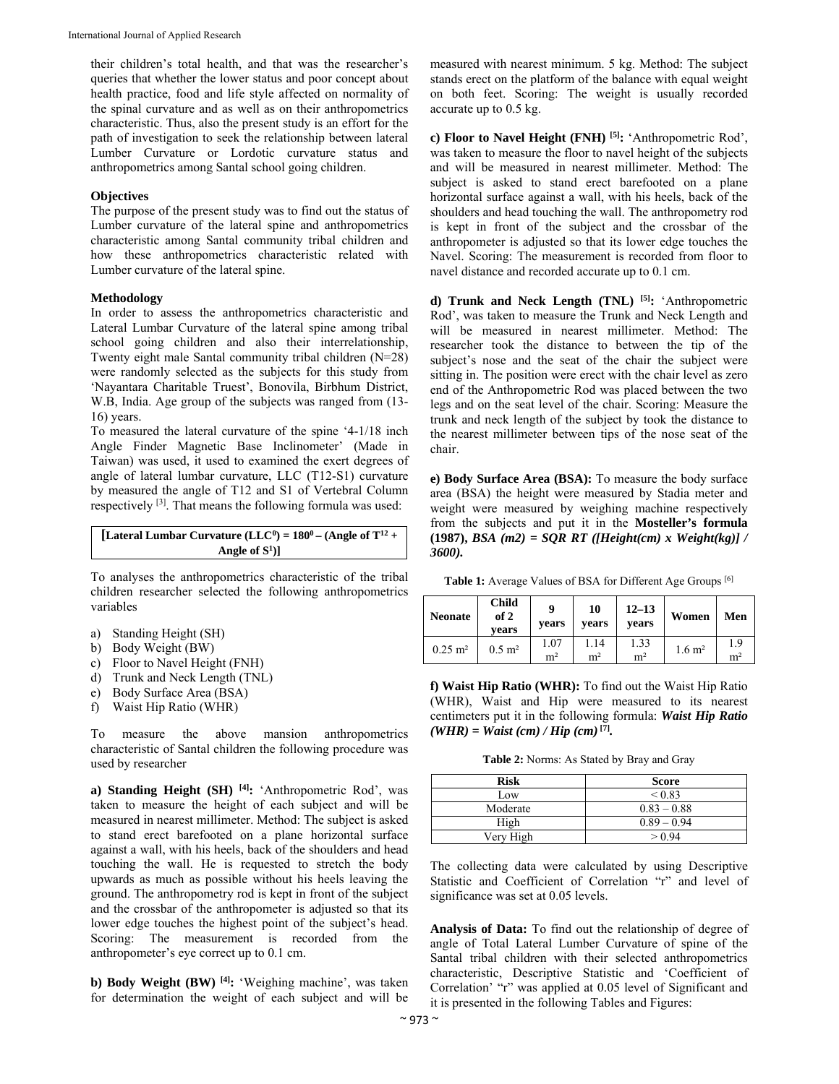their children's total health, and that was the researcher's queries that whether the lower status and poor concept about health practice, food and life style affected on normality of the spinal curvature and as well as on their anthropometrics characteristic. Thus, also the present study is an effort for the path of investigation to seek the relationship between lateral Lumber Curvature or Lordotic curvature status and anthropometrics among Santal school going children.

# **Objectives**

The purpose of the present study was to find out the status of Lumber curvature of the lateral spine and anthropometrics characteristic among Santal community tribal children and how these anthropometrics characteristic related with Lumber curvature of the lateral spine.

#### **Methodology**

In order to assess the anthropometrics characteristic and Lateral Lumbar Curvature of the lateral spine among tribal school going children and also their interrelationship, Twenty eight male Santal community tribal children (N=28) were randomly selected as the subjects for this study from 'Nayantara Charitable Truest', Bonovila, Birbhum District, W.B, India. Age group of the subjects was ranged from (13- 16) years.

To measured the lateral curvature of the spine '4-1/18 inch Angle Finder Magnetic Base Inclinometer' (Made in Taiwan) was used, it used to examined the exert degrees of angle of lateral lumbar curvature, LLC (T12-S1) curvature by measured the angle of T12 and S1 of Vertebral Column respectively [3]. That means the following formula was used:

| [Lateral Lumbar Curvature (LLC <sup>0</sup> ) = $180^0$ – (Angle of T <sup>12</sup> + |
|---------------------------------------------------------------------------------------|
| Angle of $S^1$ ]                                                                      |

To analyses the anthropometrics characteristic of the tribal children researcher selected the following anthropometrics variables

- a) Standing Height (SH)
- b) Body Weight (BW)
- c) Floor to Navel Height (FNH)
- d) Trunk and Neck Length (TNL)
- e) Body Surface Area (BSA)
- f) Waist Hip Ratio (WHR)

To measure the above mansion anthropometrics characteristic of Santal children the following procedure was used by researcher

**a) Standing Height (SH) [4]:** 'Anthropometric Rod', was taken to measure the height of each subject and will be measured in nearest millimeter. Method: The subject is asked to stand erect barefooted on a plane horizontal surface against a wall, with his heels, back of the shoulders and head touching the wall. He is requested to stretch the body upwards as much as possible without his heels leaving the ground. The anthropometry rod is kept in front of the subject and the crossbar of the anthropometer is adjusted so that its lower edge touches the highest point of the subject's head. Scoring: The measurement is recorded from the anthropometer's eye correct up to 0.1 cm.

**b) Body Weight (BW) [4]:** 'Weighing machine', was taken for determination the weight of each subject and will be measured with nearest minimum. 5 kg. Method: The subject stands erect on the platform of the balance with equal weight on both feet. Scoring: The weight is usually recorded accurate up to 0.5 kg.

**c) Floor to Navel Height (FNH) [5]:** 'Anthropometric Rod', was taken to measure the floor to navel height of the subjects and will be measured in nearest millimeter. Method: The subject is asked to stand erect barefooted on a plane horizontal surface against a wall, with his heels, back of the shoulders and head touching the wall. The anthropometry rod is kept in front of the subject and the crossbar of the anthropometer is adjusted so that its lower edge touches the Navel. Scoring: The measurement is recorded from floor to navel distance and recorded accurate up to 0.1 cm.

**d) Trunk and Neck Length (TNL) [5]:** 'Anthropometric Rod', was taken to measure the Trunk and Neck Length and will be measured in nearest millimeter. Method: The researcher took the distance to between the tip of the subject's nose and the seat of the chair the subject were sitting in. The position were erect with the chair level as zero end of the Anthropometric Rod was placed between the two legs and on the seat level of the chair. Scoring: Measure the trunk and neck length of the subject by took the distance to the nearest millimeter between tips of the nose seat of the chair.

**e) Body Surface Area (BSA):** To measure the body surface area (BSA) the height were measured by Stadia meter and weight were measured by weighing machine respectively from the subjects and put it in the **Mosteller's formula (1987),** *BSA (m2) = SQR RT ([Height(cm) x Weight(kg)] / 3600).* 

Table 1: Average Values of BSA for Different Age Groups [6]

| <b>Neonate</b>         | <b>Child</b><br>of 2<br>vears | Q<br>vears             | 10<br>vears            | $12 - 13$<br>vears     | Women             | Men                   |
|------------------------|-------------------------------|------------------------|------------------------|------------------------|-------------------|-----------------------|
| $0.25 \; \mathrm{m}^2$ | $0.5 \; \mathrm{m}^2$         | 1.07<br>m <sup>2</sup> | 1.14<br>m <sup>2</sup> | 1.33<br>m <sup>2</sup> | $1.6 \text{ m}^2$ | 1.9<br>m <sup>2</sup> |

**f) Waist Hip Ratio (WHR):** To find out the Waist Hip Ratio (WHR), Waist and Hip were measured to its nearest centimeters put it in the following formula: *Waist Hip Ratio*   $(WHR) = Wait (cm) / Hip (cm)$ <sup>[7]</sup>*.* 

**Table 2:** Norms: As Stated by Bray and Gray

| <b>Risk</b> | <b>Score</b>  |
|-------------|---------------|
| Low         | ${}_{0.83}$   |
| Moderate    | $0.83 - 0.88$ |
| High        | $0.89 - 0.94$ |
| Very High   | > 0.94        |

The collecting data were calculated by using Descriptive Statistic and Coefficient of Correlation "r" and level of significance was set at 0.05 levels.

**Analysis of Data:** To find out the relationship of degree of angle of Total Lateral Lumber Curvature of spine of the Santal tribal children with their selected anthropometrics characteristic, Descriptive Statistic and 'Coefficient of Correlation' "r" was applied at 0.05 level of Significant and it is presented in the following Tables and Figures: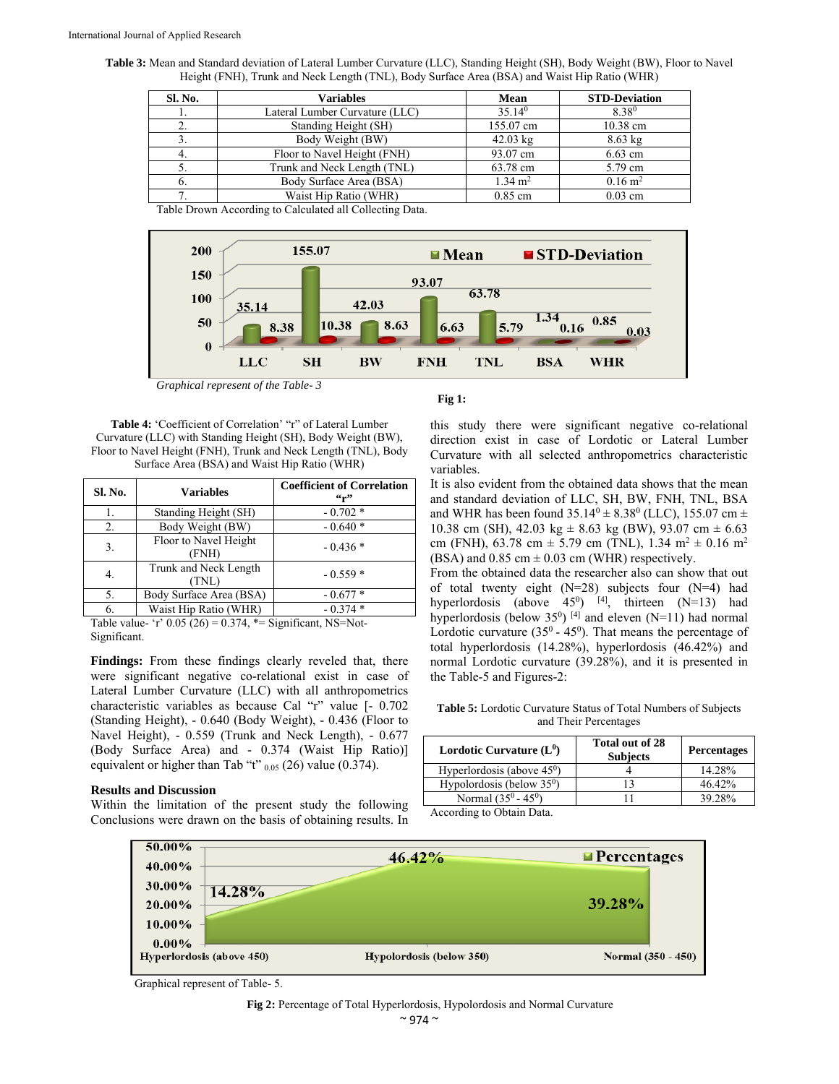**Table 3:** Mean and Standard deviation of Lateral Lumber Curvature (LLC), Standing Height (SH), Body Weight (BW), Floor to Navel Height (FNH), Trunk and Neck Length (TNL), Body Surface Area (BSA) and Waist Hip Ratio (WHR)

| Sl. No. | Variables                      | <b>Mean</b>        | <b>STD-Deviation</b> |
|---------|--------------------------------|--------------------|----------------------|
|         | Lateral Lumber Curvature (LLC) | $35.14^{0}$        | 8.380                |
|         | Standing Height (SH)           | 155.07 cm          | 10.38 cm             |
| 3.      | Body Weight (BW)               | $42.03 \text{ kg}$ | $8.63$ kg            |
| -4.     | Floor to Navel Height (FNH)    | 93.07 cm           | $6.63$ cm            |
| 5.      | Trunk and Neck Length (TNL)    | 63.78 cm           | 5.79 cm              |
| 6.      | Body Surface Area (BSA)        | $1.34 \text{ m}^2$ | $0.16 \text{ m}^2$   |
| ⇁       | Waist Hip Ratio (WHR)          | $0.85$ cm          | $0.03$ cm            |
| _____   | .                              |                    |                      |

Table Drown According to Calculated all Collecting Data.



 *Graphical represent of the Table- 3*

**Table 4:** 'Coefficient of Correlation' "r" of Lateral Lumber Curvature (LLC) with Standing Height (SH), Body Weight (BW), Floor to Navel Height (FNH), Trunk and Neck Length (TNL), Body Surface Area (BSA) and Waist Hip Ratio (WHR)

| Sl. No. | <b>Variables</b>               | <b>Coefficient of Correlation</b><br>$\mathfrak{c}_{r}$ |
|---------|--------------------------------|---------------------------------------------------------|
|         | Standing Height (SH)           | $-0.702*$                                               |
| 2.      | Body Weight (BW)               | $-0.640*$                                               |
| 3.      | Floor to Navel Height<br>(FNH) | $-0.436*$                                               |
| 4.      | Trunk and Neck Length<br>(TNL) | $-0.559*$                                               |
| 5.      | Body Surface Area (BSA)        | $-0.677*$                                               |
| 6.      | Waist Hip Ratio (WHR)          | $-0.374*$                                               |

Table value- 'r'  $0.05 (26) = 0.374$ , \*= Significant, NS=Not-Significant.

Findings: From these findings clearly reveled that, there were significant negative co-relational exist in case of Lateral Lumber Curvature (LLC) with all anthropometrics characteristic variables as because Cal "r" value [- 0.702 (Standing Height), - 0.640 (Body Weight), - 0.436 (Floor to Navel Height), - 0.559 (Trunk and Neck Length), - 0.677 (Body Surface Area) and - 0.374 (Waist Hip Ratio)] equivalent or higher than Tab "t"  $_{0.05}$  (26) value (0.374).

#### **Results and Discussion**

Within the limitation of the present study the following Conclusions were drawn on the basis of obtaining results. In

# **Fig 1:**

this study there were significant negative co-relational direction exist in case of Lordotic or Lateral Lumber Curvature with all selected anthropometrics characteristic variables.

It is also evident from the obtained data shows that the mean and standard deviation of LLC, SH, BW, FNH, TNL, BSA and WHR has been found  $35.14^{\circ} \pm 8.38^{\circ}$  (LLC), 155.07 cm  $\pm$ 10.38 cm (SH), 42.03 kg  $\pm$  8.63 kg (BW), 93.07 cm  $\pm$  6.63 cm (FNH), 63.78 cm  $\pm$  5.79 cm (TNL), 1.34 m<sup>2</sup>  $\pm$  0.16 m<sup>2</sup> (BSA) and  $0.85$  cm  $\pm 0.03$  cm (WHR) respectively.

From the obtained data the researcher also can show that out of total twenty eight (N=28) subjects four (N=4) had hyperlordosis (above  $45^0$ ) <sup>[4]</sup>, thirteen (N=13) had hyperlordosis (below  $35^0$ )<sup>[4]</sup> and eleven (N=11) had normal Lordotic curvature  $(35^0 - 45^0)$ . That means the percentage of total hyperlordosis (14.28%), hyperlordosis (46.42%) and normal Lordotic curvature (39.28%), and it is presented in the Table-5 and Figures-2:

**Table 5:** Lordotic Curvature Status of Total Numbers of Subjects and Their Percentages

| Lordotic Curvature $(L^0)$   | Total out of 28<br><b>Subjects</b> | <b>Percentages</b> |
|------------------------------|------------------------------------|--------------------|
| Hyperlordosis (above $450$ ) |                                    | 14.28%             |
| Hypolordosis (below $350$ )  | 13                                 | $46.42\%$          |
| Normal $(35^0 - 45^0)$       |                                    | 39.28%             |

According to Obtain Data.



Graphical represent of Table- 5.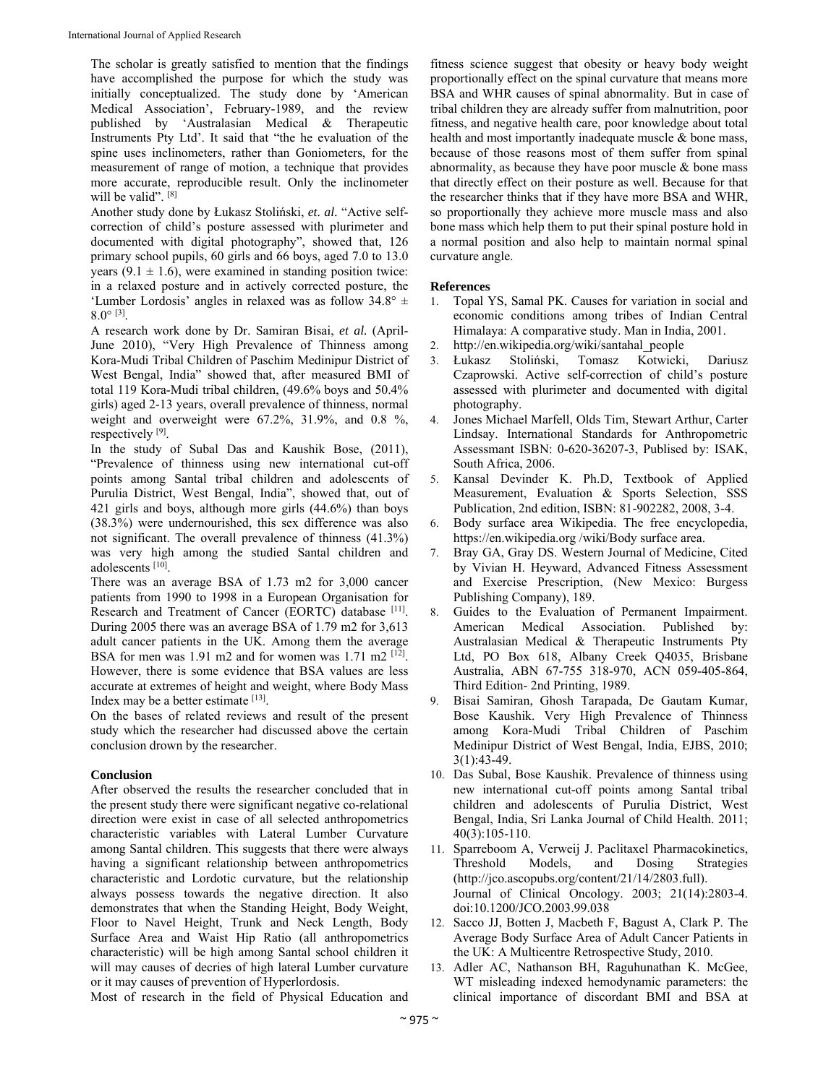The scholar is greatly satisfied to mention that the findings have accomplished the purpose for which the study was initially conceptualized. The study done by 'American Medical Association', February-1989, and the review published by 'Australasian Medical & Therapeutic Instruments Pty Ltd'. It said that "the he evaluation of the spine uses inclinometers, rather than Goniometers, for the measurement of range of motion, a technique that provides more accurate, reproducible result. Only the inclinometer will be valid".<sup>[8]</sup>

Another study done by Łukasz Stoliński, *et. al.* "Active selfcorrection of child's posture assessed with plurimeter and documented with digital photography", showed that, 126 primary school pupils, 60 girls and 66 boys, aged 7.0 to 13.0 years (9.1  $\pm$  1.6), were examined in standing position twice: in a relaxed posture and in actively corrected posture, the 'Lumber Lordosis' angles in relaxed was as follow  $34.8^{\circ}$  ±  $8.0^{\circ}$  [3].

A research work done by Dr. Samiran Bisai, *et al.* (April-June 2010), "Very High Prevalence of Thinness among Kora-Mudi Tribal Children of Paschim Medinipur District of West Bengal, India" showed that, after measured BMI of total 119 Kora-Mudi tribal children, (49.6% boys and 50.4% girls) aged 2-13 years, overall prevalence of thinness, normal weight and overweight were 67.2%, 31.9%, and 0.8 %, respectively [9].

In the study of Subal Das and Kaushik Bose, (2011), "Prevalence of thinness using new international cut-off points among Santal tribal children and adolescents of Purulia District, West Bengal, India", showed that, out of 421 girls and boys, although more girls (44.6%) than boys (38.3%) were undernourished, this sex difference was also not significant. The overall prevalence of thinness (41.3%) was very high among the studied Santal children and adolescents [10].

There was an average BSA of 1.73 m2 for 3,000 cancer patients from 1990 to 1998 in a European Organisation for Research and Treatment of Cancer (EORTC) database [11]. During 2005 there was an average BSA of 1.79 m2 for 3,613 adult cancer patients in the UK. Among them the average BSA for men was 1.91 m2 and for women was 1.71 m2 <sup>[12]</sup>. However, there is some evidence that BSA values are less accurate at extremes of height and weight, where Body Mass Index may be a better estimate [13].

On the bases of related reviews and result of the present study which the researcher had discussed above the certain conclusion drown by the researcher.

## **Conclusion**

After observed the results the researcher concluded that in the present study there were significant negative co-relational direction were exist in case of all selected anthropometrics characteristic variables with Lateral Lumber Curvature among Santal children. This suggests that there were always having a significant relationship between anthropometrics characteristic and Lordotic curvature, but the relationship always possess towards the negative direction. It also demonstrates that when the Standing Height, Body Weight, Floor to Navel Height, Trunk and Neck Length, Body Surface Area and Waist Hip Ratio (all anthropometrics characteristic) will be high among Santal school children it will may causes of decries of high lateral Lumber curvature or it may causes of prevention of Hyperlordosis.

Most of research in the field of Physical Education and

fitness science suggest that obesity or heavy body weight proportionally effect on the spinal curvature that means more BSA and WHR causes of spinal abnormality. But in case of tribal children they are already suffer from malnutrition, poor fitness, and negative health care, poor knowledge about total health and most importantly inadequate muscle & bone mass, because of those reasons most of them suffer from spinal abnormality, as because they have poor muscle  $\&$  bone mass that directly effect on their posture as well. Because for that the researcher thinks that if they have more BSA and WHR, so proportionally they achieve more muscle mass and also bone mass which help them to put their spinal posture hold in a normal position and also help to maintain normal spinal curvature angle.

# **References**

- 1. Topal YS, Samal PK. Causes for variation in social and economic conditions among tribes of Indian Central Himalaya: A comparative study. Man in India, 2001.
- 2. http://en.wikipedia.org/wiki/santahal\_people
- 3. Łukasz Stoliński, Tomasz Kotwicki, Dariusz Czaprowski. Active self-correction of child's posture assessed with plurimeter and documented with digital photography.
- 4. Jones Michael Marfell, Olds Tim, Stewart Arthur, Carter Lindsay. International Standards for Anthropometric Assessmant ISBN: 0-620-36207-3, Publised by: ISAK, South Africa, 2006.
- 5. Kansal Devinder K. Ph.D, Textbook of Applied Measurement, Evaluation & Sports Selection, SSS Publication, 2nd edition, ISBN: 81-902282, 2008, 3-4.
- 6. Body surface area Wikipedia. The free encyclopedia, https://en.wikipedia.org /wiki/Body surface area.
- 7. Bray GA, Gray DS. Western Journal of Medicine, Cited by Vivian H. Heyward, Advanced Fitness Assessment and Exercise Prescription, (New Mexico: Burgess Publishing Company), 189.
- 8. Guides to the Evaluation of Permanent Impairment. American Medical Association. Published by: Australasian Medical & Therapeutic Instruments Pty Ltd, PO Box 618, Albany Creek Q4035, Brisbane Australia, ABN 67-755 318-970, ACN 059-405-864, Third Edition- 2nd Printing, 1989.
- 9. Bisai Samiran, Ghosh Tarapada, De Gautam Kumar, Bose Kaushik. Very High Prevalence of Thinness among Kora-Mudi Tribal Children of Paschim Medinipur District of West Bengal, India, EJBS, 2010; 3(1):43-49.
- 10. Das Subal, Bose Kaushik. Prevalence of thinness using new international cut-off points among Santal tribal children and adolescents of Purulia District, West Bengal, India, Sri Lanka Journal of Child Health. 2011; 40(3):105-110.
- 11. Sparreboom A, Verweij J. Paclitaxel Pharmacokinetics, Threshold Models, and Dosing Strategies (http://jco.ascopubs.org/content/21/14/2803.full). Journal of Clinical Oncology. 2003; 21(14):2803-4. doi:10.1200/JCO.2003.99.038
- 12. Sacco JJ, Botten J, Macbeth F, Bagust A, Clark P. The Average Body Surface Area of Adult Cancer Patients in the UK: A Multicentre Retrospective Study, 2010.
- 13. Adler AC, Nathanson BH, Raguhunathan K. McGee, WT misleading indexed hemodynamic parameters: the clinical importance of discordant BMI and BSA at